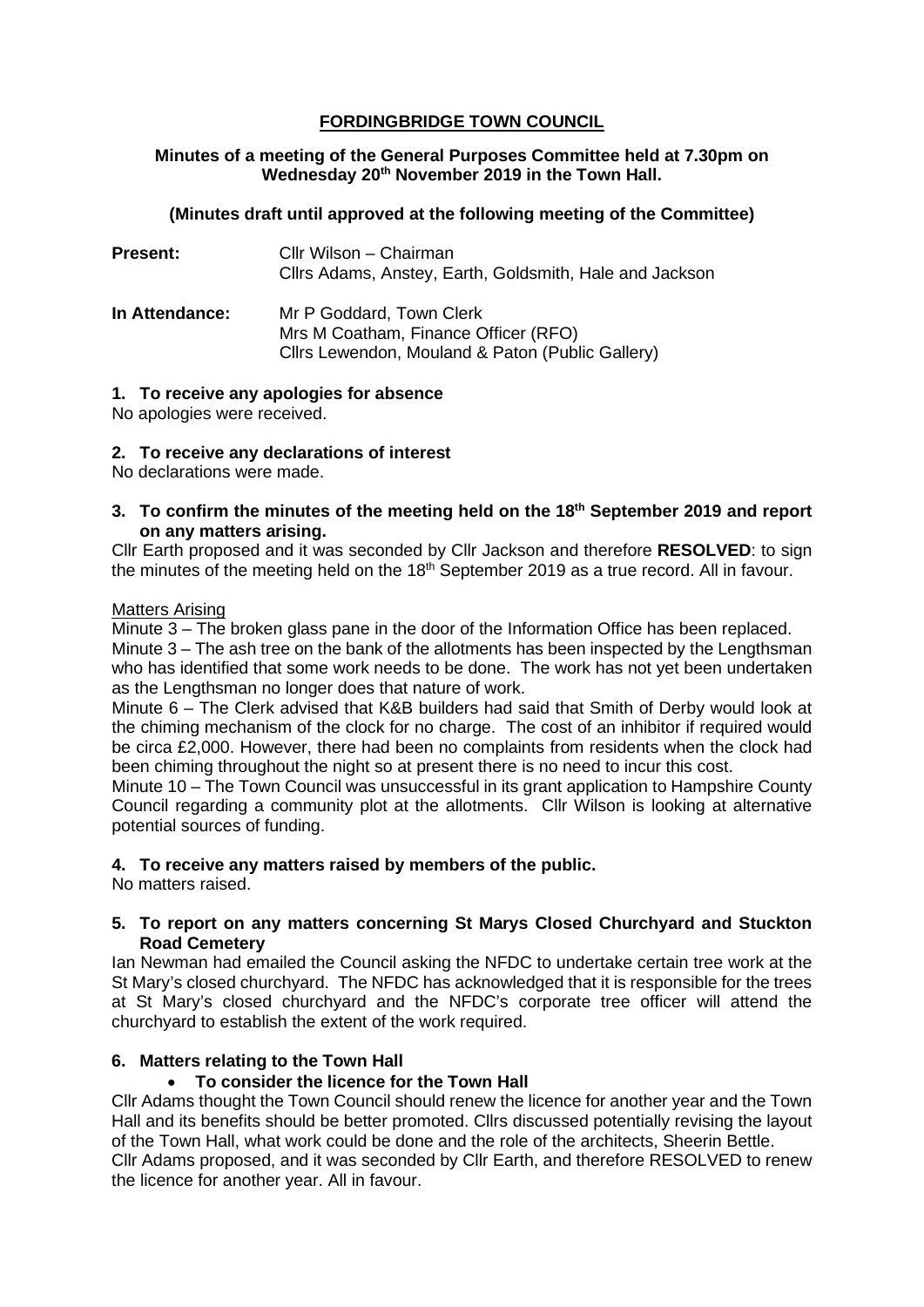## **FORDINGBRIDGE TOWN COUNCIL**

### **Minutes of a meeting of the General Purposes Committee held at 7.30pm on Wednesday 20th November 2019 in the Town Hall.**

### **(Minutes draft until approved at the following meeting of the Committee)**

| <b>Present:</b> | Cllr Wilson - Chairman<br>Cllrs Adams, Anstey, Earth, Goldsmith, Hale and Jackson                                    |
|-----------------|----------------------------------------------------------------------------------------------------------------------|
| In Attendance:  | Mr P Goddard, Town Clerk<br>Mrs M Coatham, Finance Officer (RFO)<br>Cllrs Lewendon, Mouland & Paton (Public Gallery) |

### **1. To receive any apologies for absence**

No apologies were received.

### **2. To receive any declarations of interest**

No declarations were made.

**3. To confirm the minutes of the meeting held on the 18th September 2019 and report on any matters arising.**

Cllr Earth proposed and it was seconded by Cllr Jackson and therefore **RESOLVED**: to sign the minutes of the meeting held on the 18<sup>th</sup> September 2019 as a true record. All in favour.

#### Matters Arising

Minute 3 – The broken glass pane in the door of the Information Office has been replaced. Minute 3 – The ash tree on the bank of the allotments has been inspected by the Lengthsman who has identified that some work needs to be done. The work has not yet been undertaken as the Lengthsman no longer does that nature of work.

Minute 6 – The Clerk advised that K&B builders had said that Smith of Derby would look at the chiming mechanism of the clock for no charge. The cost of an inhibitor if required would be circa £2,000. However, there had been no complaints from residents when the clock had been chiming throughout the night so at present there is no need to incur this cost.

Minute 10 – The Town Council was unsuccessful in its grant application to Hampshire County Council regarding a community plot at the allotments. Cllr Wilson is looking at alternative potential sources of funding.

### **4. To receive any matters raised by members of the public.**

No matters raised.

### **5. To report on any matters concerning St Marys Closed Churchyard and Stuckton Road Cemetery**

Ian Newman had emailed the Council asking the NFDC to undertake certain tree work at the St Mary's closed churchyard. The NFDC has acknowledged that it is responsible for the trees at St Mary's closed churchyard and the NFDC's corporate tree officer will attend the churchyard to establish the extent of the work required.

### **6. Matters relating to the Town Hall**

### • **To consider the licence for the Town Hall**

Cllr Adams thought the Town Council should renew the licence for another year and the Town Hall and its benefits should be better promoted. Cllrs discussed potentially revising the layout of the Town Hall, what work could be done and the role of the architects, Sheerin Bettle. Cllr Adams proposed, and it was seconded by Cllr Earth, and therefore RESOLVED to renew the licence for another year. All in favour.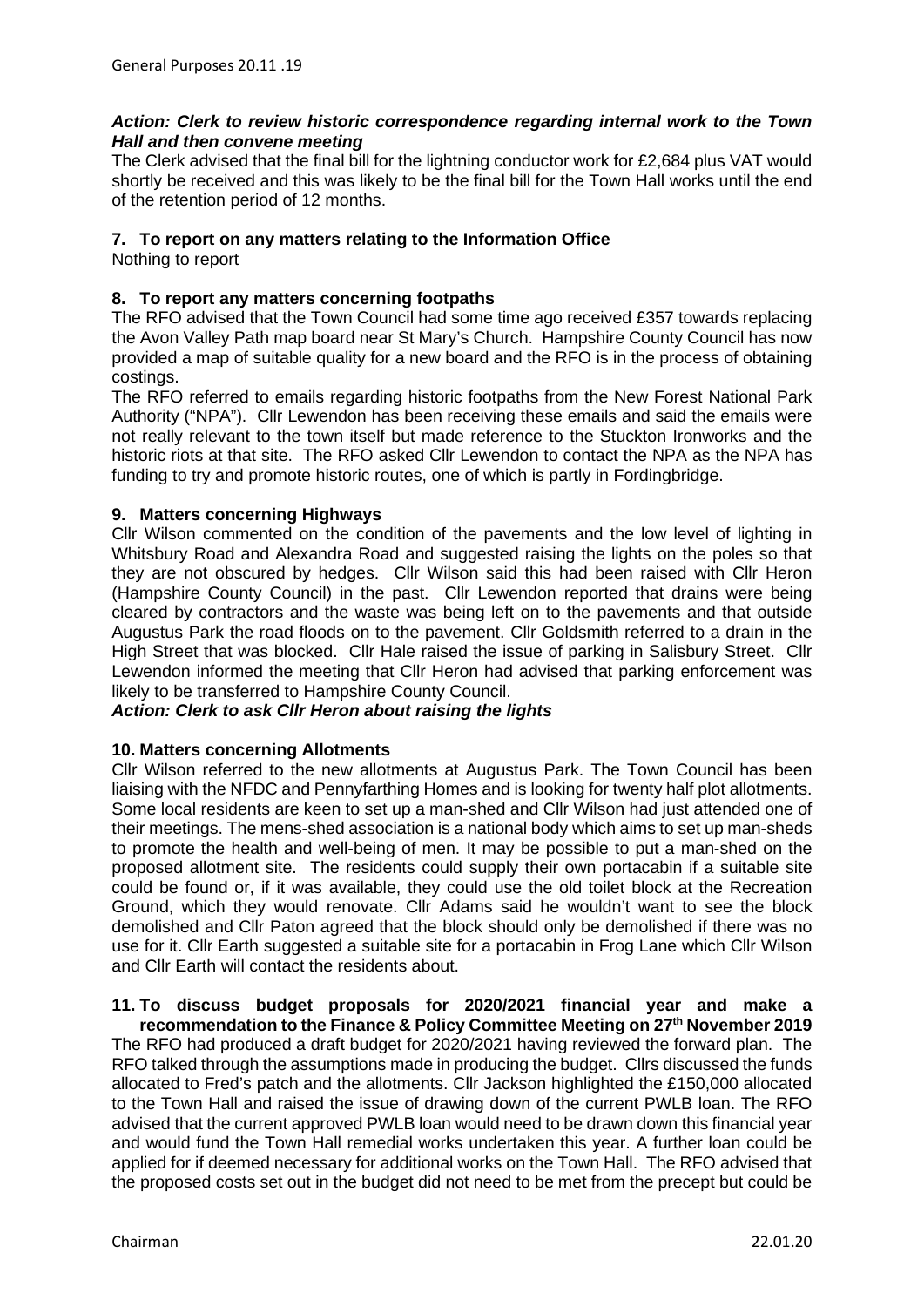### *Action: Clerk to review historic correspondence regarding internal work to the Town Hall and then convene meeting*

The Clerk advised that the final bill for the lightning conductor work for £2,684 plus VAT would shortly be received and this was likely to be the final bill for the Town Hall works until the end of the retention period of 12 months.

### **7. To report on any matters relating to the Information Office**

Nothing to report

## **8. To report any matters concerning footpaths**

The RFO advised that the Town Council had some time ago received £357 towards replacing the Avon Valley Path map board near St Mary's Church. Hampshire County Council has now provided a map of suitable quality for a new board and the RFO is in the process of obtaining costings.

The RFO referred to emails regarding historic footpaths from the New Forest National Park Authority ("NPA"). Cllr Lewendon has been receiving these emails and said the emails were not really relevant to the town itself but made reference to the Stuckton Ironworks and the historic riots at that site. The RFO asked Cllr Lewendon to contact the NPA as the NPA has funding to try and promote historic routes, one of which is partly in Fordingbridge.

### **9. Matters concerning Highways**

Cllr Wilson commented on the condition of the pavements and the low level of lighting in Whitsbury Road and Alexandra Road and suggested raising the lights on the poles so that they are not obscured by hedges. Cllr Wilson said this had been raised with Cllr Heron (Hampshire County Council) in the past. Cllr Lewendon reported that drains were being cleared by contractors and the waste was being left on to the pavements and that outside Augustus Park the road floods on to the pavement. Cllr Goldsmith referred to a drain in the High Street that was blocked. Cllr Hale raised the issue of parking in Salisbury Street. Cllr Lewendon informed the meeting that Cllr Heron had advised that parking enforcement was likely to be transferred to Hampshire County Council.

*Action: Clerk to ask Cllr Heron about raising the lights* 

### **10. Matters concerning Allotments**

Cllr Wilson referred to the new allotments at Augustus Park. The Town Council has been liaising with the NFDC and Pennyfarthing Homes and is looking for twenty half plot allotments. Some local residents are keen to set up a man-shed and Cllr Wilson had just attended one of their meetings. The mens-shed association is a national body which aims to set up man-sheds to promote the health and well-being of men. It may be possible to put a man-shed on the proposed allotment site. The residents could supply their own portacabin if a suitable site could be found or, if it was available, they could use the old toilet block at the Recreation Ground, which they would renovate. Cllr Adams said he wouldn't want to see the block demolished and Cllr Paton agreed that the block should only be demolished if there was no use for it. Cllr Earth suggested a suitable site for a portacabin in Frog Lane which Cllr Wilson and Cllr Earth will contact the residents about.

#### **11. To discuss budget proposals for 2020/2021 financial year and make a recommendation to the Finance & Policy Committee Meeting on 27th November 2019**

The RFO had produced a draft budget for 2020/2021 having reviewed the forward plan. The RFO talked through the assumptions made in producing the budget. Cllrs discussed the funds allocated to Fred's patch and the allotments. Cllr Jackson highlighted the £150,000 allocated to the Town Hall and raised the issue of drawing down of the current PWLB loan. The RFO advised that the current approved PWLB loan would need to be drawn down this financial year and would fund the Town Hall remedial works undertaken this year. A further loan could be applied for if deemed necessary for additional works on the Town Hall. The RFO advised that the proposed costs set out in the budget did not need to be met from the precept but could be